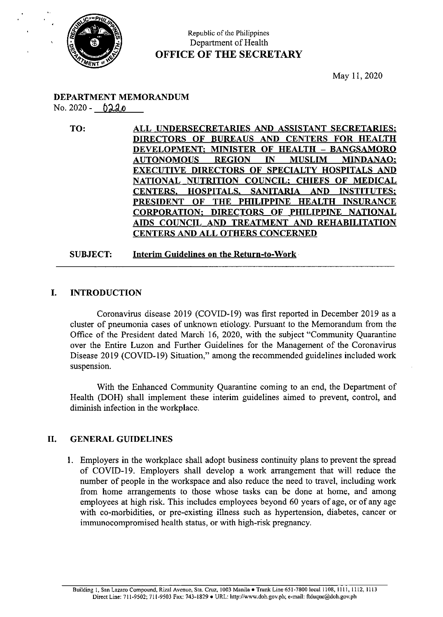

## Republic of the Philippines Department of Health OFFICE OF THE SECRETARY

May 11, <sup>2020</sup>

#### DEPARTMENT MEMORANDUM  $No. 2020 - 0220$

TO: ALL UNDERSECRETARIES AND ASSISTANT SECRETARIES: DIRECTORS OF BUREAUS AND CENTERS FOR HEALTH DEVELOPMENT: MINISTER OF HEALTH — BANGSAMORO AUTONOMOUS REGION IN MUSLIM MINDANAO; EXECUTIVE DIRECTORS OF SPECIALTY HOSPITALS AND NATIONAL NUTRITION COUNCIL: CHIEFS OF MEDICAL CENTERS, HOSPITALS, SANITARIA AND INSTITUTES; PRESIDENT OF THE PHILIPPINE HEALTH INSURANCE CORPORATION; DIRECTORS OF PHILIPPINE NATIONAL AIDS COUNCIL AND TREATMENT AND REHABILITATION CENTERS AND ALL OTHERS CONCERNED

#### SUBJECT: Interim Guidelines on the Return-to-Work -

#### I. INTRODUCTION

Coronavirus disease 2019 (COVID-19) was first reported in December 2019 as a cluster of pneumonia cases of unknown etiology. Pursuant to the Memorandum from the Office of the President dated March 16, 2020, with the subject "Community Quarantine over the Entire Luzon and Further Guidelines for the Management of the Coronavirus Disease 2019 (COVID-19) Situation," among the recommended guidelines included work suspension.

With the Enhanced Community Quarantine coming to an end, the Department of Health (DOH) shall implement these interim guidelines aimed to prevent, control, and diminish infection in the workplace.

#### II. GENERAL GUIDELINES

1. Employers in the workplace shall adopt business continuity plans to prevent the spread of COVID-19. Employers shall develop a work arrangement that will reduce the number of people in the workspace and also reduce the need to travel, including work from home arrangements to those whose tasks can be done at home, and among employees at high risk. This includes employees beyond 60 years of age, or of any age with co-morbidities, or pre-existing illness such as hypertension, diabetes, cancer or immunocompromised health status, or with high-risk pregnancy.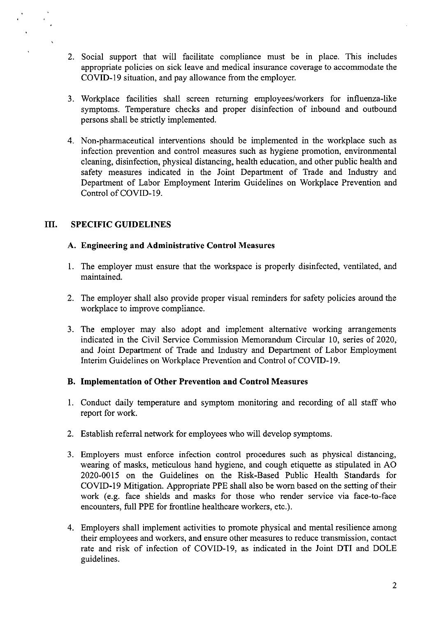- 2. Social support that will facilitate compliance must be in place. This includes appropriate policies on sick leave and medical insurance coverage to accommodate the COVID-19 situation, and pay allowance from the employer.
- 3. Workplace facilities shall screen returning employees/workers for influenza-like symptoms. Temperature checks and proper disinfection of inbound and outbound persons shall be strictly implemented.
- 4. Non-pharmaceutical interventions should be implemented in the workplace such as infection prevention and control measures such as hygiene promotion, environmental cleaning, disinfection, physical distancing, health education, and other public health and safety measures indicated in the Joint Department of Trade and Industry and Department of Labor Employment Interim Guidelines on Workplace Prevention and Control of COVID-19.

#### Tif. SPECIFIC GUIDELINES

### A. Engineering and Administrative Control Measures

- l. The employer must ensure that the workspace is properly disinfected, ventilated, and maintained.
- 2. The employer shall also provide proper visual reminders for safety policies around the workplace to improve compliance.
- 3. The employer may also adopt and implement alternative working arrangements indicated in the Civil Service Commission Memorandum Circular 10, series of 2020, and Joint Department of Trade and Industry and Department of Labor Employment Interim Guidelines on Workplace Prevention and Control of COVID-19.

### B. Implementation of Other Prevention and Control Measures

- 1. Conduct daily temperature and symptom monitoring and recording of all staff who report for work.
- 2. Establish referral network for employees who will develop symptoms.
- 3. Employers must enforce infection control procedures such as physical distancing, wearing of masks, meticulous hand hygiene, and cough etiquette as stipulated in AO 2020-0015 on the Guidelines on the Risk-Based Public Health Standards for COVID-19 Mitigation. Appropriate PPE shall also be worn based on the setting of their work (e.g. face shields and masks for those who render service via face-to-face encounters, full PPE for frontline healthcare workers, etc.).
- 4. Employers shall implement activities to promote physical and mental resilience among their employees and workers, and ensure other measures to reduce transmission, contact rate and risk of infection of COVID-19, as indicated in the Joint DTI and DOLE guidelines.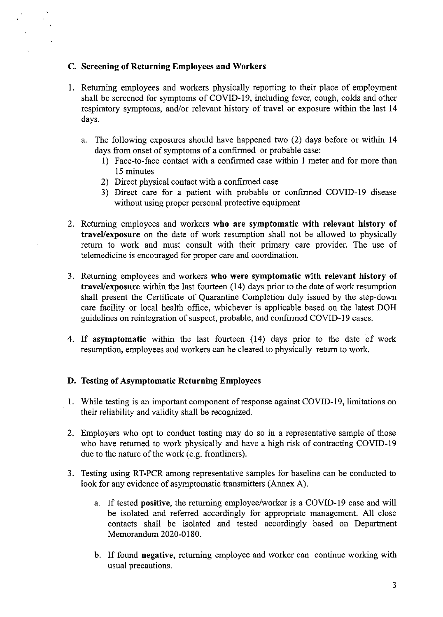#### . Screening of Returning Employees and Workers

- 1. Returning employees and workers physically reporting to their place of employment shall be screened for symptoms of COVID-19, including fever, cough, colds and other respiratory symptoms, and/or relevant history of travel or exposure within the last <sup>14</sup> days.
	- a. The following exposures should have happened two (2) days before or within 14 days from onset of symptoms of a confirmed or probable case:
		- 1) Face-to-face contact with a confirmed case within <sup>1</sup> meter and for more than 15 minutes
		- 2) Direct physical contact with a confirmed case
		- 3) Direct care for a patient with probable or confirmed COVID-19 disease without using proper personal protective equipment
- . Returning employees and workers who are symptomatic with relevant history of travel/exposure on the date of work resumption shall not be allowed to physically return to work and must consult with their primary care provider. The use of telemedicine is encouraged for proper care and coordination.
- 3. Returning employees and workers who were symptomatic with relevant history of travel/exposure within the last fourteen (14) days prior to the date of work resumption shall present the Certificate of Quarantine Completion duly issued by the step-down care facility or local health office, whichever is applicable based on the latest DOH guidelines on reintegration of suspect, probable, and confirmed COVID-19 cases.
- 4. If asymptomatic within the last fourteen (14) days prior to the date of work resumption, employees and workers can be cleared to physically return to work.

### . Testing of Asymptomatic Returning Employees

- 1. While testing is an important component of response against COVID-19, limitations on their reliability and validity shall be recognized.
- . Employers who opt to conduct testing may do so in a representative sample of those who have returned to work physically and have a high risk of contracting COVID-19 due to the nature of the work(e.g. frontliners).
- . Testing using RT-PCR among representative samples for baseline can be conducted to look for any evidence of asymptomatic transmitters (Annex A).
	- a. If tested positive, the returning employee/worker is a COVID-19 case and will be isolated and referred accordingly for appropriate management. All close contacts shall be isolated and tested accordingly based on Department Memorandum 2020-0180.
	- b. If found negative, returning employee and worker can continue working with usual precautions.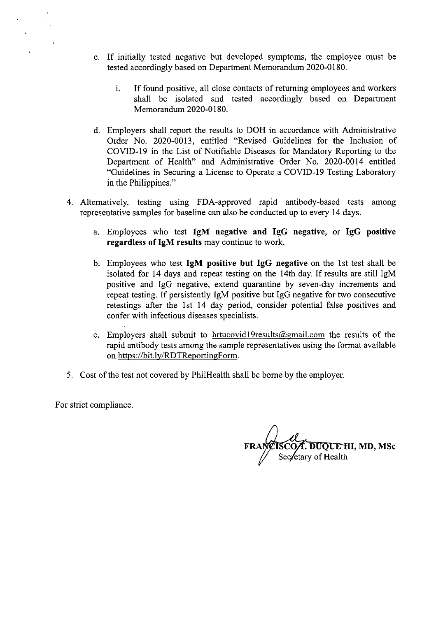- c, If initially tested negative but developed symptoms, the employee must be tested accordingly based on Department Memorandum 2020-0180.
	- i. If found positive, all close contacts of returning employees and workers shall be isolated and tested accordingly based on Department Memorandum 2020-0180.
- Employers shall report the results to DOH in accordance with Administrative Order No. 2020-0013, entitled "Revised Guidelines for the Inclusion of COVID-19 in the List of Notifiable Diseases for Mandatory Reporting to the Department of Health" and Administrative Order No. 2020-0014 entitled "Guidelines in Securing a License to Operate a COVID-19 Testing Laboratory in the Philippines."
- 4. Alternatively, testing using FDA-approved rapid antibody-based tests among representative samples for baseline can also be conducted up to every 14 days.
	- a. Employees who test IgM negative and IgG negative, or IgG positive regardless of IgM results may continue to work.
	- b. Employees who test IgM positive but IgG negative on the 1st test shall be isolated for 14 days and repeat testing on the 14th day. If results are still IgM positive and IgG negative, extend quarantine by seven-day increments and repeat testing. If persistently IgM positive but IgG negative for two consecutive retestings after the ist 14 day period, consider potential false positives and confer with infectious diseases specialists.
	- c. Employers shall submit to  $\frac{hrtucovid}{9$ results@gmail.com the results of the rapid antibody tests among the sample representatives using the format available on https://bit.ly/RDTReportingForm.
- 5. Cost of the test not covered by PhilHealth shall be borne by the employer.

For strict compliance.

CO**/I. DUQUE HI, MD, MS**c Sec⁄etary of Health